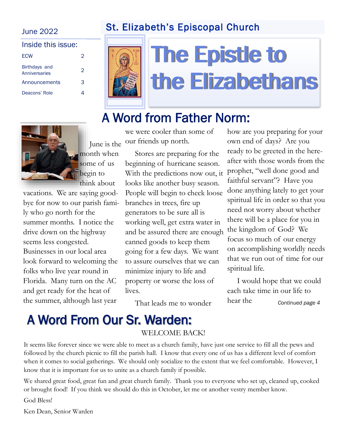## St. Elizabeth's Episcopal Church

### June 2022

| Inside this issue:             |               |
|--------------------------------|---------------|
| <b>ECW</b>                     | $\mathcal{P}$ |
| Birthdays and<br>Anniversaries | 2             |
| Announcements                  | З             |
| Deacons' Role                  |               |



# **The Epistle to** the Elizabethans

# A Word from Father Norm:



vacations. We are saying goodbye for now to our parish family who go north for the summer months. I notice the drive down on the highway seems less congested. Businesses in our local area look forward to welcoming the folks who live year round in Florida. Many turn on the AC and get ready for the heat of the summer, although last year

we were cooler than some of our friends up north.

 Stores are preparing for the beginning of hurricane season. With the predictions now out, it prophet, "well done good and looks like another busy season. People will begin to check loose branches in trees, fire up generators to be sure all is working well, get extra water in and be assured there are enough canned goods to keep them going for a few days. We want to assure ourselves that we can minimize injury to life and property or worse the loss of lives.

That leads me to wonder

how are you preparing for your own end of days? Are you ready to be greeted in the hereafter with those words from the faithful servant"? Have you done anything lately to get your spiritual life in order so that you need not worry about whether there will be a place for you in the kingdom of God? We focus so much of our energy on accomplishing worldly needs that we run out of time for our spiritual life.

 I would hope that we could each take time in our life to hear the *Continued page 4*

# A Word From Our Sr. Warden:

#### WELCOME BACK!

It seems like forever since we were able to meet as a church family, have just one service to fill all the pews and followed by the church picnic to fill the parish hall. I know that every one of us has a different level of comfort when it comes to social gatherings. We should only socialize to the extent that we feel comfortable. However, I know that it is important for us to unite as a church family if possible.

We shared great food, great fun and great church family. Thank you to everyone who set up, cleaned up, cooked or brought food! If you think we should do this in October, let me or another vestry member know.

God Bless!

Ken Dean, Senior Warden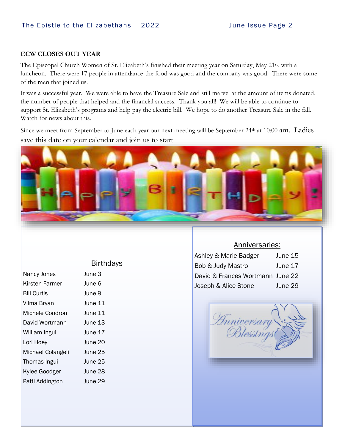#### **ECW CLOSES OUT YEAR**

The Episcopal Church Women of St. Elizabeth's finished their meeting year on Saturday, May 21<sup>st</sup>, with a luncheon. There were 17 people in attendance-the food was good and the company was good. There were some of the men that joined us.

It was a successful year. We were able to have the Treasure Sale and still marvel at the amount of items donated, the number of people that helped and the financial success. Thank you all! We will be able to continue to support St. Elizabeth's programs and help pay the electric bill. We hope to do another Treasure Sale in the fall. Watch for news about this.

Since we meet from September to June each year our next meeting will be September 24<sup>th</sup> at 10:00 am. Ladies save this date on your calendar and join us to start



|                    | <b>Birthdays</b> |
|--------------------|------------------|
| Nancy Jones        | June 3           |
| Kirsten Farmer     | June 6           |
| <b>Bill Curtis</b> | June 9           |
| Vilma Bryan        | June 11          |
| Michele Condron    | June 11          |
| David Wortmann     | June 13          |
| William Ingui      | June 17          |
| Lori Hoey          | June 20          |
| Michael Colangeli  | June 25          |
| Thomas Ingui       | June 25          |
| Kylee Goodger      | June 28          |
|                    |                  |

Patti Addington June 29

#### Anniversaries:

| Ashley & Marie Badger            | June 15 |
|----------------------------------|---------|
| Bob & Judy Mastro                | June 17 |
| David & Frances Wortmann June 22 |         |
| Joseph & Alice Stone             | June 29 |

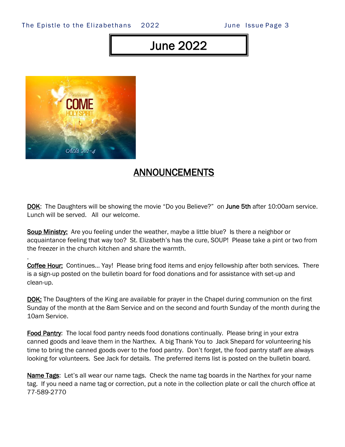#### The Epistle to the Elizabethans 2022 June Issue Page 3

# June 2022



.

### ANNOUNCEMENTS

DOK: The Daughters will be showing the movie "Do you Believe?" on June 5th after 10:00am service. Lunch will be served. All our welcome.

**Soup Ministry:** Are you feeling under the weather, maybe a little blue? Is there a neighbor or acquaintance feeling that way too? St. Elizabeth's has the cure, SOUP! Please take a pint or two from the freezer in the church kitchen and share the warmth.

**Coffee Hour:** Continues... Yay! Please bring food items and enjoy fellowship after both services. There is a sign-up posted on the bulletin board for food donations and for assistance with set-up and clean-up.

**DOK:** The Daughters of the King are available for prayer in the Chapel during communion on the first Sunday of the month at the 8am Service and on the second and fourth Sunday of the month during the 10am Service.

Food Pantry: The local food pantry needs food donations continually. Please bring in your extra canned goods and leave them in the Narthex. A big Thank You to Jack Shepard for volunteering his time to bring the canned goods over to the food pantry. Don't forget, the food pantry staff are always looking for volunteers. See Jack for details. The preferred items list is posted on the bulletin board.

Name Tags: Let's all wear our name tags. Check the name tag boards in the Narthex for your name tag. If you need a name tag or correction, put a note in the collection plate or call the church office at 77-589-2770